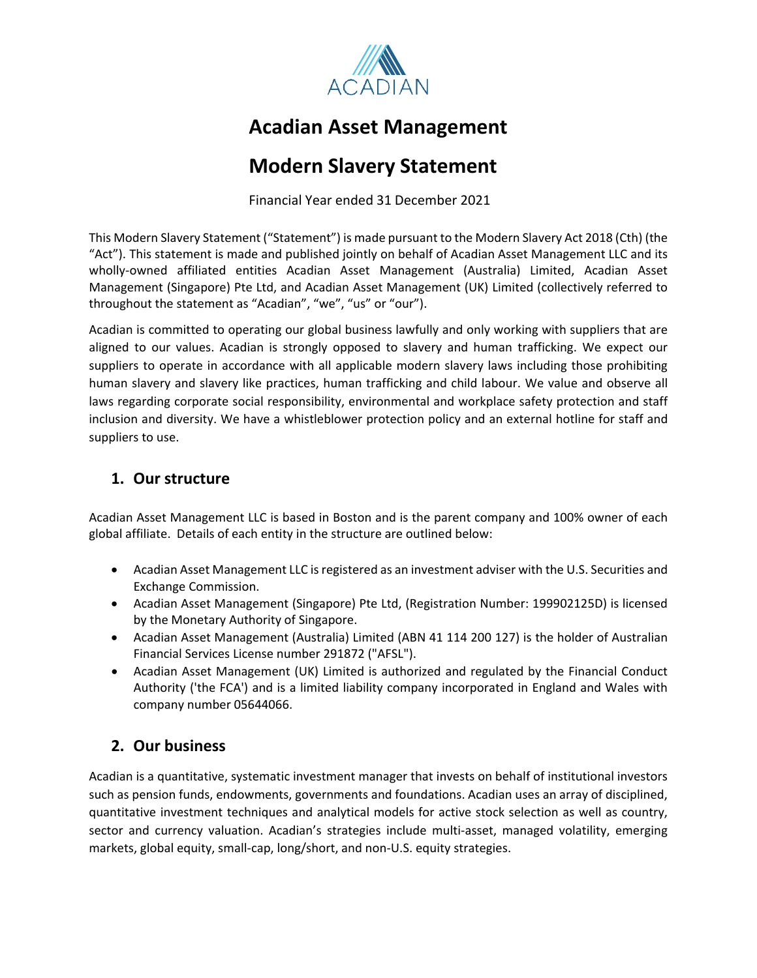

# **Acadian Asset Management**

# **Modern Slavery Statement**

Financial Year ended 31 December 2021

This Modern Slavery Statement ("Statement") is made pursuant to the Modern Slavery Act 2018 (Cth) (the "Act"). This statement is made and published jointly on behalf of Acadian Asset Management LLC and its wholly-owned affiliated entities Acadian Asset Management (Australia) Limited, Acadian Asset Management (Singapore) Pte Ltd, and Acadian Asset Management (UK) Limited (collectively referred to throughout the statement as "Acadian", "we", "us" or "our").

Acadian is committed to operating our global business lawfully and only working with suppliers that are aligned to our values. Acadian is strongly opposed to slavery and human trafficking. We expect our suppliers to operate in accordance with all applicable modern slavery laws including those prohibiting human slavery and slavery like practices, human trafficking and child labour. We value and observe all laws regarding corporate social responsibility, environmental and workplace safety protection and staff inclusion and diversity. We have a whistleblower protection policy and an external hotline for staff and suppliers to use.

## **1. Our structure**

Acadian Asset Management LLC is based in Boston and is the parent company and 100% owner of each global affiliate. Details of each entity in the structure are outlined below:

- Acadian Asset Management LLC is registered as an investment adviser with the U.S. Securities and Exchange Commission.
- Acadian Asset Management (Singapore) Pte Ltd, (Registration Number: 199902125D) is licensed by the Monetary Authority of Singapore.
- Acadian Asset Management (Australia) Limited (ABN 41 114 200 127) is the holder of Australian Financial Services License number 291872 ("AFSL").
- Acadian Asset Management (UK) Limited is authorized and regulated by the Financial Conduct Authority ('the FCA') and is a limited liability company incorporated in England and Wales with company number 05644066.

# **2. Our business**

Acadian is a quantitative, systematic investment manager that invests on behalf of institutional investors such as pension funds, endowments, governments and foundations. Acadian uses an array of disciplined, quantitative investment techniques and analytical models for active stock selection as well as country, sector and currency valuation. Acadian's strategies include multi-asset, managed volatility, emerging markets, global equity, small-cap, long/short, and non-U.S. equity strategies.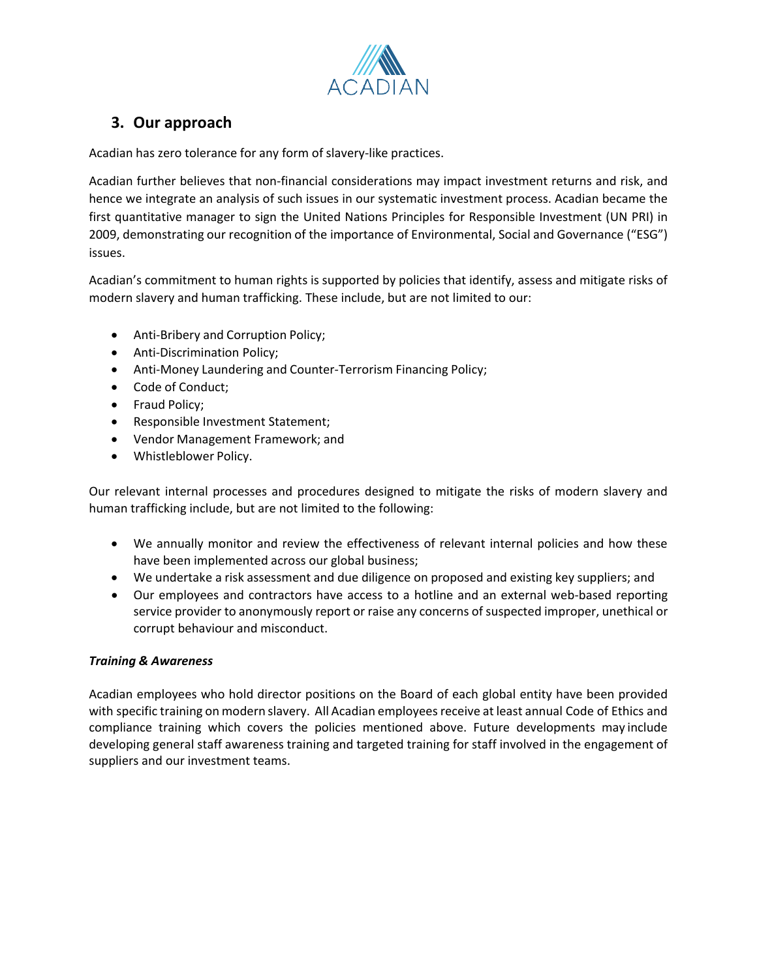

## **3. Our approach**

Acadian has zero tolerance for any form of slavery-like practices.

Acadian further believes that non-financial considerations may impact investment returns and risk, and hence we integrate an analysis of such issues in our systematic investment process. Acadian became the first quantitative manager to sign the United Nations Principles for Responsible Investment (UN PRI) in 2009, demonstrating our recognition of the importance of Environmental, Social and Governance ("ESG") issues.

Acadian's commitment to human rights is supported by policies that identify, assess and mitigate risks of modern slavery and human trafficking. These include, but are not limited to our:

- Anti-Bribery and Corruption Policy;
- Anti-Discrimination Policy;
- Anti-Money Laundering and Counter-Terrorism Financing Policy;
- Code of Conduct;
- Fraud Policy;
- Responsible Investment Statement;
- Vendor Management Framework; and
- Whistleblower Policy.

Our relevant internal processes and procedures designed to mitigate the risks of modern slavery and human trafficking include, but are not limited to the following:

- We annually monitor and review the effectiveness of relevant internal policies and how these have been implemented across our global business;
- We undertake a risk assessment and due diligence on proposed and existing key suppliers; and
- Our employees and contractors have access to a hotline and an external web-based reporting service provider to anonymously report or raise any concerns of suspected improper, unethical or corrupt behaviour and misconduct.

#### *Training & Awareness*

Acadian employees who hold director positions on the Board of each global entity have been provided with specific training on modern slavery. All Acadian employees receive at least annual Code of Ethics and compliance training which covers the policies mentioned above. Future developments may include developing general staff awareness training and targeted training for staff involved in the engagement of suppliers and our investment teams.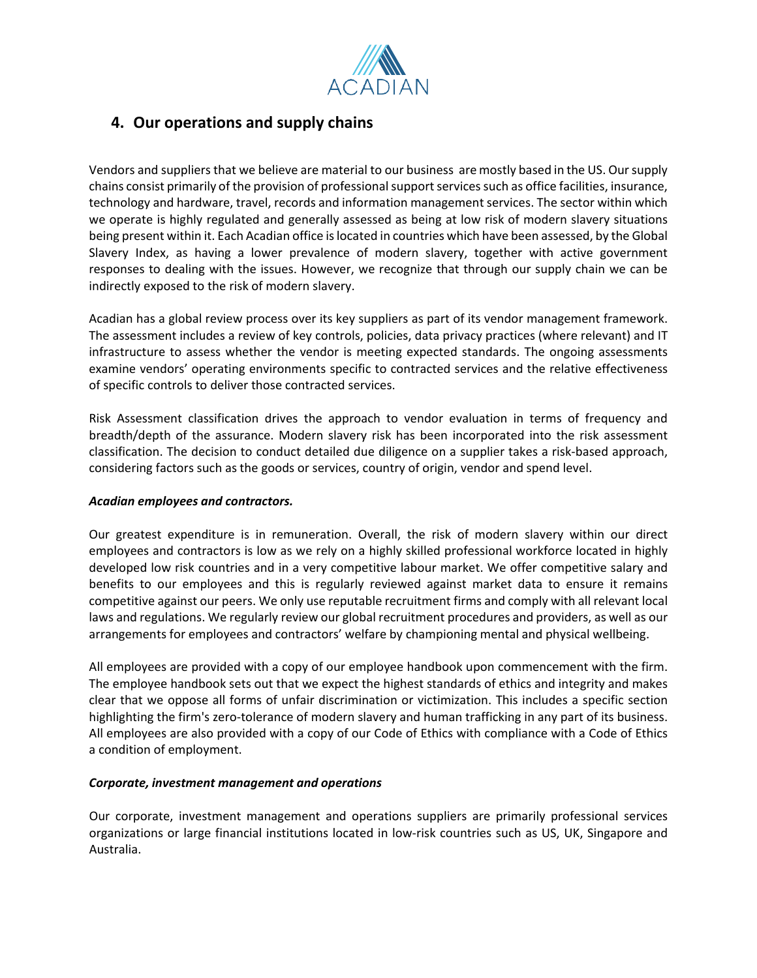

### **4. Our operations and supply chains**

Vendors and suppliers that we believe are material to our business aremostly based in the US. Oursupply chains consist primarily of the provision of professionalsupportservicessuch as office facilities, insurance, technology and hardware, travel, records and information management services. The sector within which we operate is highly regulated and generally assessed as being at low risk of modern slavery situations being present within it. Each Acadian office is located in countries which have been assessed, by the Global Slavery Index, as having a lower prevalence of modern slavery, together with active government responses to dealing with the issues. However, we recognize that through our supply chain we can be indirectly exposed to the risk of modern slavery.

Acadian has a global review process over its key suppliers as part of its vendor management framework. The assessment includes a review of key controls, policies, data privacy practices (where relevant) and IT infrastructure to assess whether the vendor is meeting expected standards. The ongoing assessments examine vendors' operating environments specific to contracted services and the relative effectiveness of specific controls to deliver those contracted services.

Risk Assessment classification drives the approach to vendor evaluation in terms of frequency and breadth/depth of the assurance. Modern slavery risk has been incorporated into the risk assessment classification. The decision to conduct detailed due diligence on a supplier takes a risk-based approach, considering factors such as the goods or services, country of origin, vendor and spend level.

#### *Acadian employees and contractors.*

Our greatest expenditure is in remuneration. Overall, the risk of modern slavery within our direct employees and contractors is low as we rely on a highly skilled professional workforce located in highly developed low risk countries and in a very competitive labour market. We offer competitive salary and benefits to our employees and this is regularly reviewed against market data to ensure it remains competitive against our peers. We only use reputable recruitment firms and comply with all relevant local laws and regulations. We regularly review our global recruitment procedures and providers, as well as our arrangements for employees and contractors' welfare by championing mental and physical wellbeing.

All employees are provided with a copy of our employee handbook upon commencement with the firm. The employee handbook sets out that we expect the highest standards of ethics and integrity and makes clear that we oppose all forms of unfair discrimination or victimization. This includes a specific section highlighting the firm's zero-tolerance of modern slavery and human trafficking in any part of its business. All employees are also provided with a copy of our Code of Ethics with compliance with a Code of Ethics a condition of employment.

#### *Corporate, investment management and operations*

Our corporate, investment management and operations suppliers are primarily professional services organizations or large financial institutions located in low-risk countries such as US, UK, Singapore and Australia.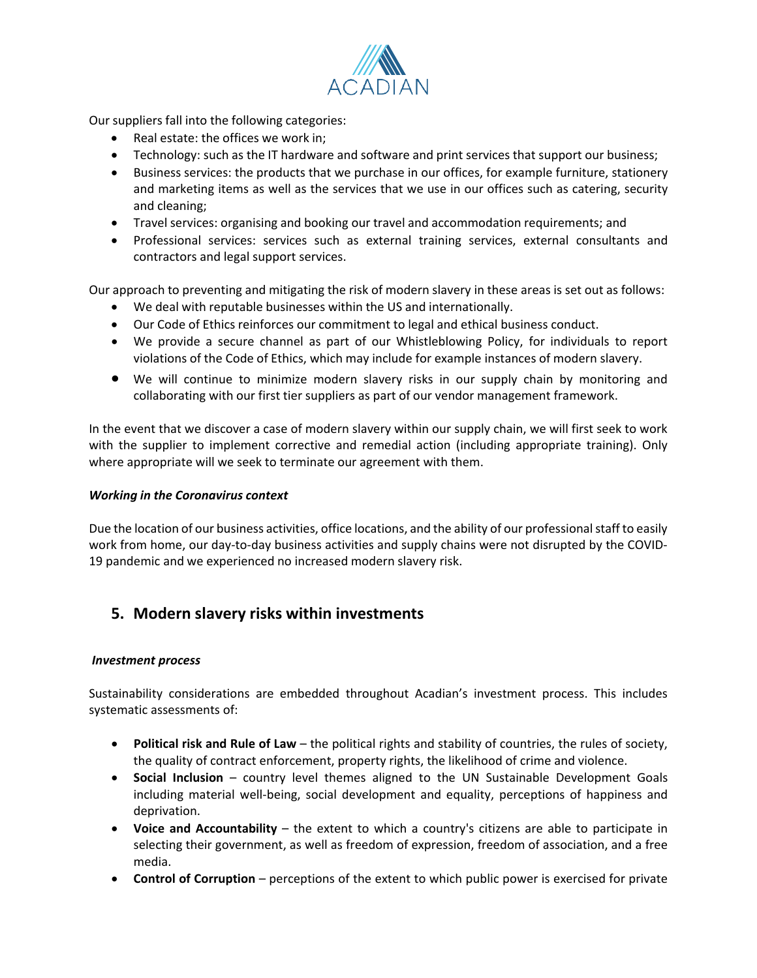

Our suppliers fall into the following categories:

- Real estate: the offices we work in;
- Technology: such as the IT hardware and software and print services that support our business;
- Business services: the products that we purchase in our offices, for example furniture, stationery and marketing items as well as the services that we use in our offices such as catering, security and cleaning;
- Travel services: organising and booking our travel and accommodation requirements; and
- Professional services: services such as external training services, external consultants and contractors and legal support services.

Our approach to preventing and mitigating the risk of modern slavery in these areas is set out as follows:

- We deal with reputable businesses within the US and internationally.
- Our Code of Ethics reinforces our commitment to legal and ethical business conduct.
- We provide a secure channel as part of our Whistleblowing Policy, for individuals to report violations of the Code of Ethics, which may include for example instances of modern slavery.
- We will continue to minimize modern slavery risks in our supply chain by monitoring and collaborating with our first tier suppliers as part of our vendor management framework.

In the event that we discover a case of modern slavery within our supply chain, we will first seek to work with the supplier to implement corrective and remedial action (including appropriate training). Only where appropriate will we seek to terminate our agreement with them.

#### *Working in the Coronavirus context*

Due the location of our business activities, office locations, and the ability of our professional staff to easily work from home, our day-to-day business activities and supply chains were not disrupted by the COVID-19 pandemic and we experienced no increased modern slavery risk.

### **5. Modern slavery risks within investments**

#### *Investment process*

Sustainability considerations are embedded throughout Acadian's investment process. This includes systematic assessments of:

- **Political risk and Rule of Law** the political rights and stability of countries, the rules of society, the quality of contract enforcement, property rights, the likelihood of crime and violence.
- **Social Inclusion**  country level themes aligned to the UN Sustainable Development Goals including material well-being, social development and equality, perceptions of happiness and deprivation.
- **Voice and Accountability** the extent to which a country's citizens are able to participate in selecting their government, as well as freedom of expression, freedom of association, and a free media.
- **Control of Corruption** perceptions of the extent to which public power is exercised for private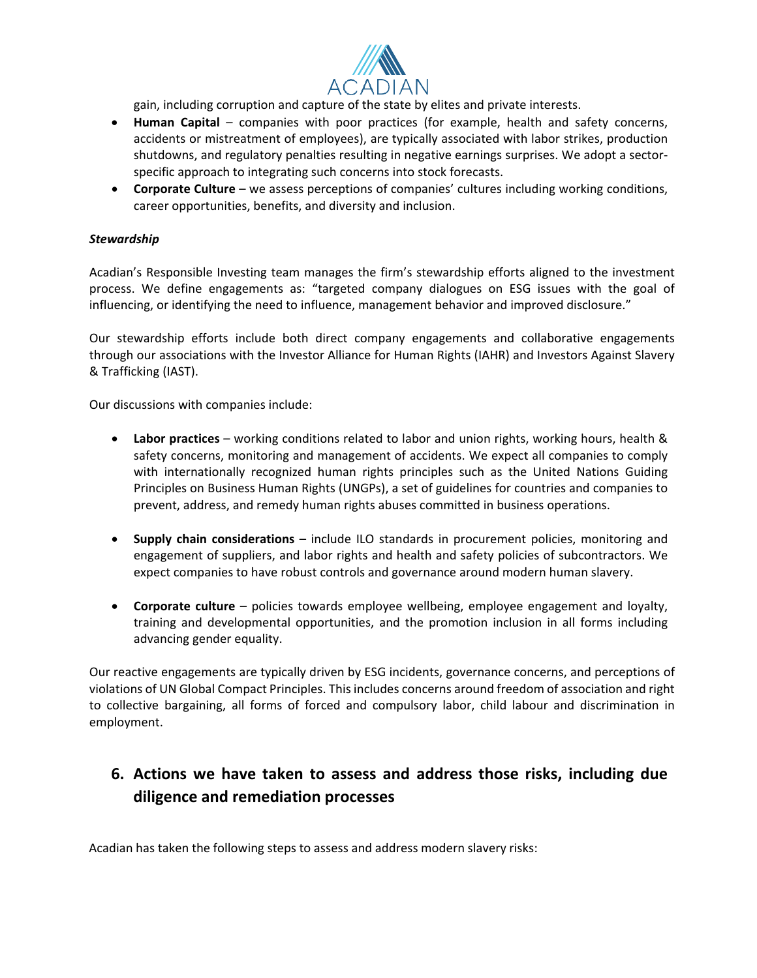

gain, including corruption and capture of the state by elites and private interests.

- **Human Capital**  companies with poor practices (for example, health and safety concerns, accidents or mistreatment of employees), are typically associated with labor strikes, production shutdowns, and regulatory penalties resulting in negative earnings surprises. We adopt a sectorspecific approach to integrating such concerns into stock forecasts.
- **Corporate Culture** we assess perceptions of companies' cultures including working conditions, career opportunities, benefits, and diversity and inclusion.

#### *Stewardship*

Acadian's Responsible Investing team manages the firm's stewardship efforts aligned to the investment process. We define engagements as: "targeted company dialogues on ESG issues with the goal of influencing, or identifying the need to influence, management behavior and improved disclosure."

Our stewardship efforts include both direct company engagements and collaborative engagements through our associations with the Investor Alliance for Human Rights (IAHR) and Investors Against Slavery & Trafficking (IAST).

Our discussions with companies include:

- **Labor practices** working conditions related to labor and union rights, working hours, health & safety concerns, monitoring and management of accidents. We expect all companies to comply with internationally recognized human rights principles such as the United Nations Guiding Principles on Business Human Rights (UNGPs), a set of guidelines for countries and companies to prevent, address, and remedy human rights abuses committed in business operations.
- **Supply chain considerations**  include ILO standards in procurement policies, monitoring and engagement of suppliers, and labor rights and health and safety policies of subcontractors. We expect companies to have robust controls and governance around modern human slavery.
- **Corporate culture** policies towards employee wellbeing, employee engagement and loyalty, training and developmental opportunities, and the promotion inclusion in all forms including advancing gender equality.

Our reactive engagements are typically driven by ESG incidents, governance concerns, and perceptions of violations of UN Global Compact Principles. This includes concerns around freedom of association and right to collective bargaining, all forms of forced and compulsory labor, child labour and discrimination in employment.

# **6. Actions we have taken to assess and address those risks, including due diligence and remediation processes**

Acadian has taken the following steps to assess and address modern slavery risks: